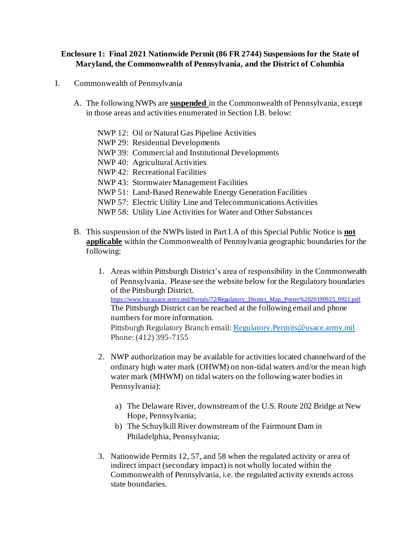## **Enclosure 1: Final 2021 Nationwide Permit (86 FR 2744) Suspensions for the State of Maryland, the Commonwealth of Pennsylvania, and the District of Columbia**

- I. Commonwealth of Pennsylvania
	- A. The following NWPs are **suspended** in the Commonwealth of Pennsylvania, except in those areas and activities enumerated in Section I.B. below:
		- NWP 12: Oil or Natural Gas Pipeline Activities
		- NWP 29: Residential Developments
		- NWP 39: Commercial and Institutional Developments
		- NWP 40: Agricultural Activities
		- NWP 42: Recreational Facilities
		- NWP 43: Stormwater Management Facilities
		- NWP 51: Land-Based Renewable Energy Generation Facilities
		- NWP 57: Electric Utility Line and Telecommunications Activities
		- NWP 58: Utility Line Activities for Water and Other Substances
	- B. This suspension of the NWPs listed in Part I.A of this Special Public Notice is **not applicable** within the Commonwealth of Pennsylvania geographic boundaries for the following:
		- 1. Areas within Pittsburgh District's area of responsibility in the Commonwealth of Pennsylvania. Please see the website below for the Regulatory boundaries of the Pittsburgh District. [https://www.lrp.usace.army.mil/Portals/72/Regulatory\\_District\\_Map\\_Poster%2020190925\\_0921.pdf](https://www.lrp.usace.army.mil/Portals/72/Regulatory_District_Map_Poster%2020190925_0921.pdf) The Pittsburgh District can be reached at the following email and phone numbers for more information. Pittsburgh Regulatory Branch email: [Regulatory.Permits@usace.army.mil](mailto:Regulatory.Permits@usace.army.mil) Phone: (412) 395-7155
		- 2. NWP authorization may be available for activities located channelward of the ordinary high water mark (OHWM) on non-tidal waters and/or the mean high water mark (MHWM) on tidal waters on the following water bodies in Pennsylvania):
			- a) The Delaware River, downstream of the U.S. Route 202 Bridge at New Hope, Pennsylvania;
			- b) The Schuylkill River downstream of the Fairmount Dam in Philadelphia, Pennsylvania;
		- 3. Nationwide Permits 12, 57, and 58 when the regulated activity or area of indirect impact (secondary impact) is not wholly located within the Commonwealth of Pennsylvania, i.e. the regulated activity extends across state boundaries.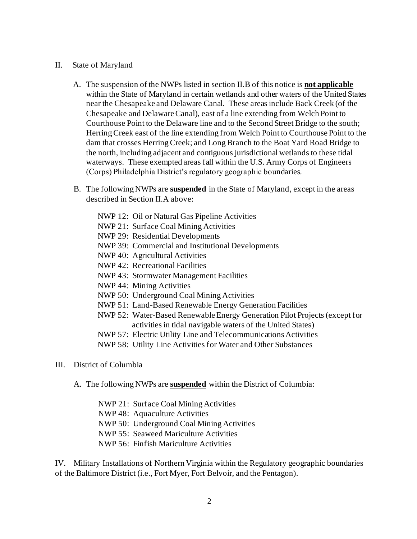- II. State of Maryland
	- A. The suspension of the NWPs listed in section II.B of this notice is **not applicable** within the State of Maryland in certain wetlands and other waters of the United States near the Chesapeake and Delaware Canal. These areas include Back Creek (of the Chesapeake and Delaware Canal), east of a line extending from Welch Point to Courthouse Point to the Delaware line and to the Second Street Bridge to the south; Herring Creek east of the line extending from Welch Point to Courthouse Point to the dam that crosses Herring Creek; and Long Branch to the Boat Yard Road Bridge to the north, including adjacent and contiguous jurisdictional wetlands to these tidal waterways. These exempted areas fall within the U.S. Army Corps of Engineers (Corps) Philadelphia District's regulatory geographic boundaries.
	- B. The following NWPs are **suspended** in the State of Maryland, except in the areas described in Section II.A above:
		- NWP 12: Oil or Natural Gas Pipeline Activities
		- NWP 21: Surface Coal Mining Activities
		- NWP 29: Residential Developments
		- NWP 39: Commercial and Institutional Developments
		- NWP 40: Agricultural Activities
		- NWP 42: Recreational Facilities
		- NWP 43: Stormwater Management Facilities
		- NWP 44: Mining Activities
		- NWP 50: Underground Coal Mining Activities
		- NWP 51: Land-Based Renewable Energy Generation Facilities
		- NWP 52: Water-Based Renewable Energy Generation Pilot Projects (except for activities in tidal navigable waters of the United States)
		- NWP 57: Electric Utility Line and Telecommunications Activities
		- NWP 58: Utility Line Activities for Water and Other Substances
- III. District of Columbia
	- A. The following NWPs are **suspended** within the District of Columbia:
		- NWP 21: Surface Coal Mining Activities
		- NWP 48: Aquaculture Activities
		- NWP 50: Underground Coal Mining Activities
		- NWP 55: Seaweed Mariculture Activities
		- NWP 56: Finfish Mariculture Activities

IV. Military Installations of Northern Virginia within the Regulatory geographic boundaries of the Baltimore District (i.e., Fort Myer, Fort Belvoir, and the Pentagon).